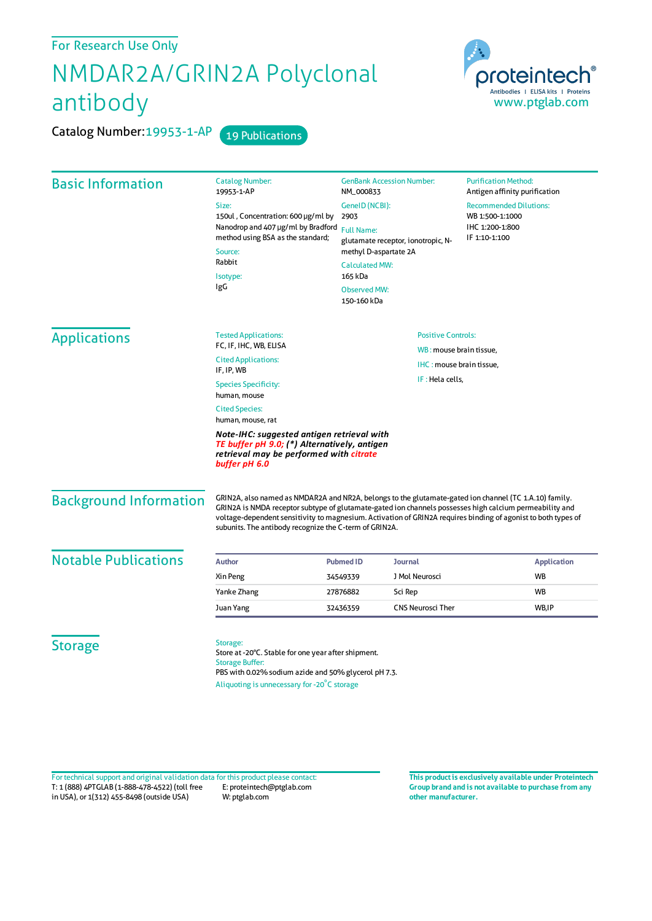## For Research Use Only

## NMDAR2A/GRIN2A Polyclonal antibody

Catalog Number: 19953-1-AP 19 Publications



| <b>Basic Information</b>    | <b>Catalog Number:</b>                                                                                                                                 | <b>GenBank Accession Number:</b>                                                                                                                                                                                                                                                                                                                                                             | <b>Purification Method:</b>                                    |
|-----------------------------|--------------------------------------------------------------------------------------------------------------------------------------------------------|----------------------------------------------------------------------------------------------------------------------------------------------------------------------------------------------------------------------------------------------------------------------------------------------------------------------------------------------------------------------------------------------|----------------------------------------------------------------|
|                             | 19953-1-AP<br>Size:                                                                                                                                    | NM_000833<br>GenelD (NCBI):                                                                                                                                                                                                                                                                                                                                                                  | Antigen affinity purification<br><b>Recommended Dilutions:</b> |
|                             | 150ul, Concentration: 600 µg/ml by<br>Nanodrop and 407 µg/ml by Bradford<br>method using BSA as the standard;<br>Source:<br>Rabbit<br>Isotype:<br>IgG  | 2903                                                                                                                                                                                                                                                                                                                                                                                         | WB 1:500-1:1000                                                |
|                             |                                                                                                                                                        | <b>Full Name:</b>                                                                                                                                                                                                                                                                                                                                                                            | IHC 1:200-1:800                                                |
|                             |                                                                                                                                                        | glutamate receptor, ionotropic, N-<br>methyl D-aspartate 2A                                                                                                                                                                                                                                                                                                                                  | IF 1:10-1:100                                                  |
|                             |                                                                                                                                                        | <b>Calculated MW:</b>                                                                                                                                                                                                                                                                                                                                                                        |                                                                |
|                             |                                                                                                                                                        | 165 kDa                                                                                                                                                                                                                                                                                                                                                                                      |                                                                |
|                             |                                                                                                                                                        | <b>Observed MW:</b><br>150-160 kDa                                                                                                                                                                                                                                                                                                                                                           |                                                                |
| <b>Applications</b>         | <b>Positive Controls:</b><br><b>Tested Applications:</b>                                                                                               |                                                                                                                                                                                                                                                                                                                                                                                              |                                                                |
|                             | FC, IF, IHC, WB, ELISA<br><b>Cited Applications:</b><br>IF, IP, WB                                                                                     | WB: mouse brain tissue,<br>IHC: mouse brain tissue,<br>IF: Hela cells,                                                                                                                                                                                                                                                                                                                       |                                                                |
|                             |                                                                                                                                                        |                                                                                                                                                                                                                                                                                                                                                                                              |                                                                |
|                             | <b>Cited Species:</b><br>human, mouse, rat                                                                                                             |                                                                                                                                                                                                                                                                                                                                                                                              |                                                                |
|                             | Note-IHC: suggested antigen retrieval with<br>TE buffer pH 9.0; (*) Alternatively, antigen<br>retrieval may be performed with citrate<br>buffer pH 6.0 |                                                                                                                                                                                                                                                                                                                                                                                              |                                                                |
|                             | <b>Background Information</b>                                                                                                                          | GRIN2A, also named as NMDAR2A and NR2A, belongs to the glutamate-gated ion channel (TC 1.A.10) family.<br>GRIN2A is NMDA receptor subtype of glutamate-gated ion channels possesses high calcium permeability and<br>voltage-dependent sensitivity to magnesium. Activation of GRIN2A requires binding of agonist to both types of<br>subunits. The antibody recognize the C-term of GRIN2A. |                                                                |
| <b>Notable Publications</b> | <b>Author</b>                                                                                                                                          | <b>Pubmed ID</b><br><b>Journal</b>                                                                                                                                                                                                                                                                                                                                                           | <b>Application</b>                                             |
|                             | Xin Peng                                                                                                                                               | J Mol Neurosci<br>34549339                                                                                                                                                                                                                                                                                                                                                                   | <b>WB</b>                                                      |
|                             | Yanke Zhang                                                                                                                                            | Sci Rep<br>27876882                                                                                                                                                                                                                                                                                                                                                                          | <b>WB</b>                                                      |
|                             | Juan Yang                                                                                                                                              | <b>CNS Neurosci Ther</b><br>32436359                                                                                                                                                                                                                                                                                                                                                         | WB,IP                                                          |
|                             |                                                                                                                                                        |                                                                                                                                                                                                                                                                                                                                                                                              |                                                                |
| <b>Storage</b>              | Storage:<br>Store at -20°C. Stable for one year after shipment.<br><b>Storage Buffer:</b><br>PBS with 0.02% sodium azide and 50% glycerol pH 7.3.      |                                                                                                                                                                                                                                                                                                                                                                                              |                                                                |
|                             | Aliquoting is unnecessary for -20°C storage                                                                                                            |                                                                                                                                                                                                                                                                                                                                                                                              |                                                                |

T: 1 (888) 4PTGLAB (1-888-478-4522) (toll free in USA), or 1(312) 455-8498 (outside USA) E: proteintech@ptglab.com W: ptglab.com Fortechnical support and original validation data forthis product please contact: **This productis exclusively available under Proteintech**

**Group brand and is not available to purchase from any other manufacturer.**